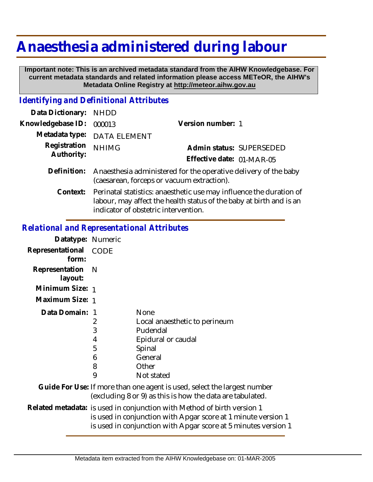## **Anaesthesia administered during labour**

 **Important note: This is an archived metadata standard from the AIHW Knowledgebase. For current metadata standards and related information please access METeOR, the AIHW's Metadata Online Registry at http://meteor.aihw.gov.au**

## *Identifying and Definitional Attributes*

| Data Dictionary:           | NHDD                                                                                                                                                                                        |                           |                          |
|----------------------------|---------------------------------------------------------------------------------------------------------------------------------------------------------------------------------------------|---------------------------|--------------------------|
| Knowledgebase ID:          | 000013                                                                                                                                                                                      | Version number: 1         |                          |
| Metadata type:             | <b>DATA ELEMENT</b>                                                                                                                                                                         |                           |                          |
| Registration<br>Authority: | <b>NHIMG</b>                                                                                                                                                                                |                           | Admin status: SUPERSEDED |
|                            |                                                                                                                                                                                             | Effective date: 01-MAR-05 |                          |
| Definition:                | Anaesthesia administered for the operative delivery of the baby<br>(caesarean, forceps or vacuum extraction).                                                                               |                           |                          |
|                            | Context: Perinatal statistics: anaesthetic use may influence the duration of<br>labour, may affect the health status of the baby at birth and is an<br>indicator of obstetric intervention. |                           |                          |

## *Relational and Representational Attributes*

| Datatype: Numeric         |                                                                                                                                                                                                            |                                                                                                                                       |
|---------------------------|------------------------------------------------------------------------------------------------------------------------------------------------------------------------------------------------------------|---------------------------------------------------------------------------------------------------------------------------------------|
| Representational<br>form: | CODE                                                                                                                                                                                                       |                                                                                                                                       |
| Representation<br>layout: | -N                                                                                                                                                                                                         |                                                                                                                                       |
| Minimum Size: 1           |                                                                                                                                                                                                            |                                                                                                                                       |
| Maximum Size: 1           |                                                                                                                                                                                                            |                                                                                                                                       |
| Data Domain: 1            | 2<br>3<br>4<br>5<br>6<br>8<br>9                                                                                                                                                                            | None<br>Local anaesthetic to perineum<br>Pudendal<br>Epidural or caudal<br>Spinal<br>General<br>Other<br>Not stated                   |
|                           |                                                                                                                                                                                                            | Guide For Use: If more than one agent is used, select the largest number<br>(excluding 8 or 9) as this is how the data are tabulated. |
|                           | Related metadata: is used in conjunction with Method of birth version 1<br>is used in conjunction with Apgar score at 1 minute version 1<br>is used in conjunction with Apgar score at 5 minutes version 1 |                                                                                                                                       |